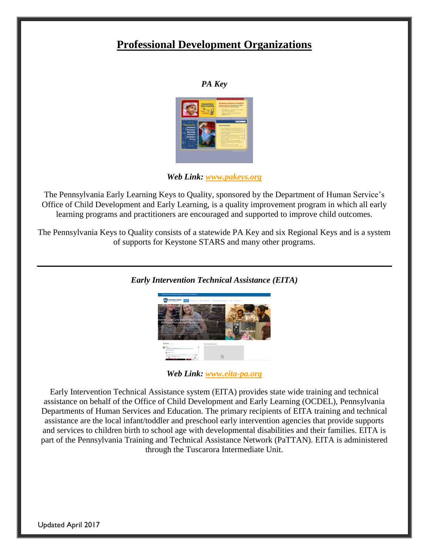## **Professional Development Organizations**



*Web Link: [www.pakeys.org](http://www.pakeys.org/)*

The Pennsylvania Early Learning Keys to Quality, sponsored by the Department of Human Service's Office of Child Development and Early Learning, is a quality improvement program in which all early learning programs and practitioners are encouraged and supported to improve child outcomes.

The Pennsylvania Keys to Quality consists of a statewide PA Key and six Regional Keys and is a system of supports for Keystone STARS and many other programs.



*Early Intervention Technical Assistance (EITA)*

*Web Link: [www.eita-pa.org](http://www.eita-pa.org/)*

Early Intervention Technical Assistance system (EITA) provides state wide training and technical assistance on behalf of the Office of Child Development and Early Learning (OCDEL), Pennsylvania Departments of Human Services and Education. The primary recipients of EITA training and technical assistance are the local infant/toddler and preschool early intervention agencies that provide supports and services to children birth to school age with developmental disabilities and their families. EITA is part of the Pennsylvania Training and Technical Assistance Network (PaTTAN). EITA is administered through the Tuscarora Intermediate Unit.